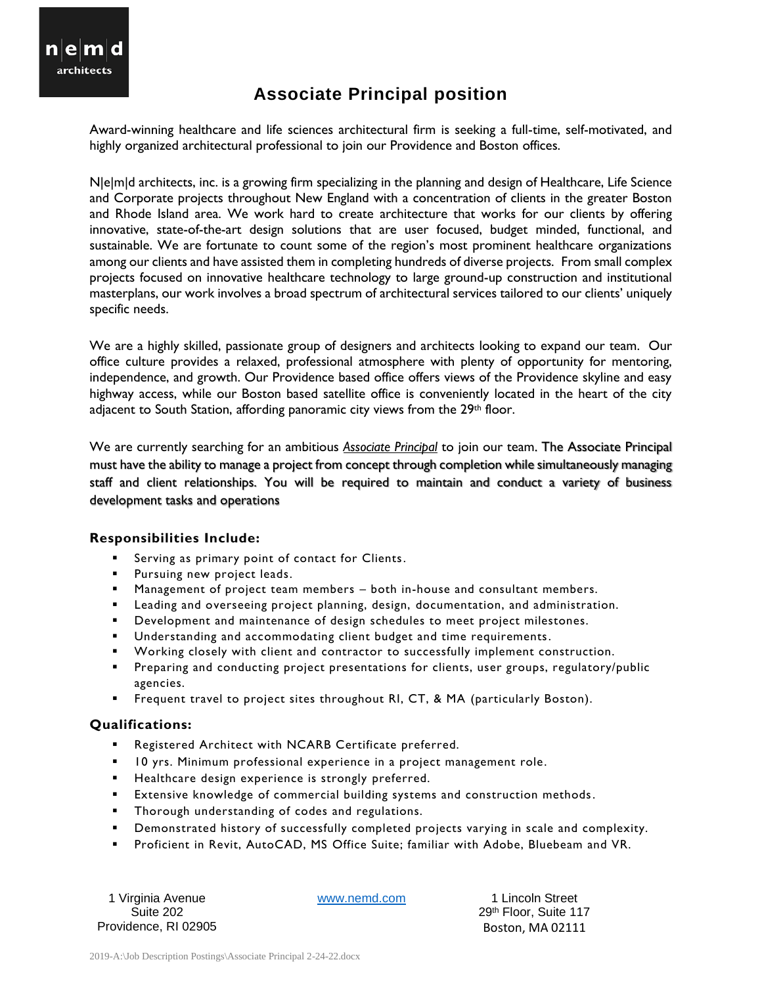

## **Associate Principal position**

Award-winning healthcare and life sciences architectural firm is seeking a full-time, self-motivated, and highly organized architectural professional to join our Providence and Boston offices.

N|e|m|d architects, inc. is a growing firm specializing in the planning and design of Healthcare, Life Science and Corporate projects throughout New England with a concentration of clients in the greater Boston and Rhode Island area. We work hard to create architecture that works for our clients by offering innovative, state-of-the-art design solutions that are user focused, budget minded, functional, and sustainable. We are fortunate to count some of the region's most prominent healthcare organizations among our clients and have assisted them in completing hundreds of diverse projects. From small complex projects focused on innovative healthcare technology to large ground-up construction and institutional masterplans, our work involves a broad spectrum of architectural services tailored to our clients' uniquely specific needs.

We are a highly skilled, passionate group of designers and architects looking to expand our team. Our office culture provides a relaxed, professional atmosphere with plenty of opportunity for mentoring, independence, and growth. Our Providence based office offers views of the Providence skyline and easy highway access, while our Boston based satellite office is conveniently located in the heart of the city adjacent to South Station, affording panoramic city views from the 29<sup>th</sup> floor.

We are currently searching for an ambitious *Associate Principal* to join our team. The Associate Principal must have the ability to manage a project from concept through completion while simultaneously managing staff and client relationships. You will be required to maintain and conduct a variety of business development tasks and operations

## **Responsibilities Include:**

- Serving as primary point of contact for Clients.
- **·** Pursuing new project leads.
- Management of project team members both in-house and consultant members.
- Leading and overseeing project planning, design, documentation, and administration.
- **•** Development and maintenance of design schedules to meet project milestones.
- Understanding and accommodating client budget and time requirements.
- Working closely with client and contractor to successfully implement construction.
- **•** Preparing and conducting project presentations for clients, user groups, regulatory/public agencies.
- **EXECUTE:** Frequent travel to project sites throughout RI, CT, & MA (particularly Boston).

## **Qualifications:**

- Registered Architect with NCARB Certificate preferred.
- 10 yrs. Minimum professional experience in a project management role.
- Healthcare design experience is strongly preferred.
- **Extensive knowledge of commercial building systems and construction methods.**
- Thorough understanding of codes and regulations.
- Demonstrated history of successfully completed projects varying in scale and complexity.
- Proficient in Revit, AutoCAD, MS Office Suite; familiar with Adobe, Bluebeam and VR.

1 Virginia Avenue [www.nemd.com](http://www.nemd.com/) 1 Lincoln Street Providence, RI 02905 Boston, MA 02111

Suite 202 29th Floor, Suite 117